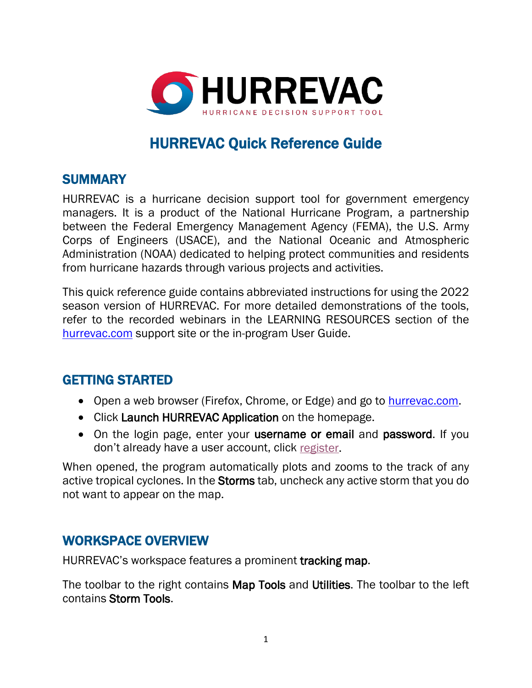

# HURREVAC Quick Reference Guide

### **SUMMARY**

HURREVAC is a hurricane decision support tool for government emergency managers. It is a product of the National Hurricane Program, a partnership between the Federal Emergency Management Agency (FEMA), the U.S. Army Corps of Engineers (USACE), and the National Oceanic and Atmospheric Administration (NOAA) dedicated to helping protect communities and residents from hurricane hazards through various projects and activities.

This quick reference guide contains abbreviated instructions for using the 2022 season version of HURREVAC. For more detailed demonstrations of the tools, refer to the recorded webinars in the LEARNING RESOURCES section of the [hurrevac.com](https://hurrevac.com/learning-resources/user-guides-and-tutorials/) support site or the in-program User Guide.

# GETTING STARTED

- Open a web browser (Firefox, Chrome, or Edge) and go to **hurrevac.com**.
- Click Launch HURREVAC Application on the homepage.
- On the login page, enter your username or email and password. If you don't already have a user account, click [register.](https://hvx-registration.hurrevac.com/?go=account:register)

When opened, the program automatically plots and zooms to the track of any active tropical cyclones. In the Storms tab, uncheck any active storm that you do not want to appear on the map.

### WORKSPACE OVERVIEW

HURREVAC's workspace features a prominent tracking map.

The toolbar to the right contains Map Tools and Utilities. The toolbar to the left contains Storm Tools.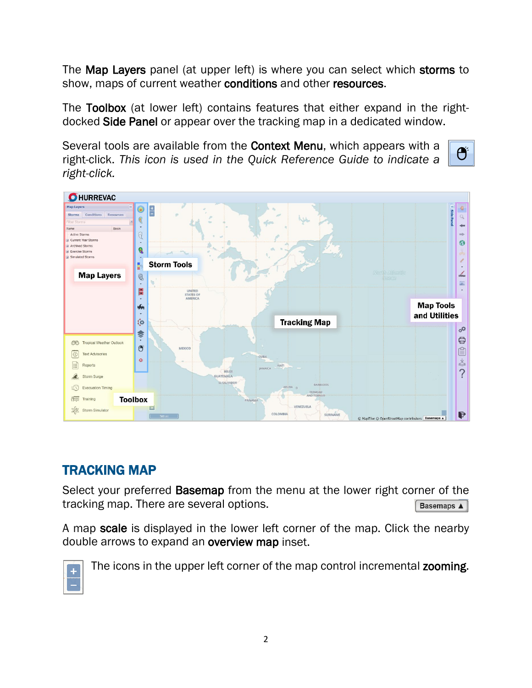The Map Layers panel (at upper left) is where you can select which storms to show, maps of current weather conditions and other resources.

The Toolbox (at lower left) contains features that either expand in the rightdocked Side Panel or appear over the tracking map in a dedicated window.

Ő

Several tools are available from the **Context Menu**, which appears with a right-click. *This icon is used in the Quick Reference Guide to indicate a right-click.*



# TRACKING MAP

Select your preferred **Basemap** from the menu at the lower right corner of the tracking map. There are several options. Basemaps A

A map scale is displayed in the lower left corner of the map. Click the nearby double arrows to expand an overview map inset.



The icons in the upper left corner of the map control incremental zooming.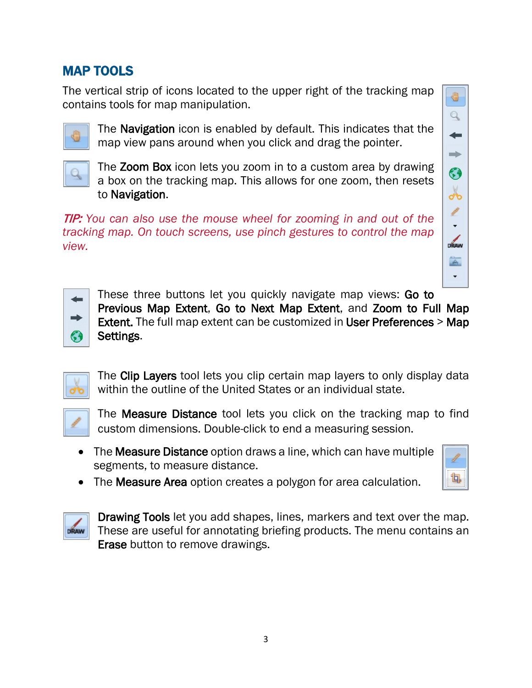# MAP TOOLS

The vertical strip of icons located to the upper right of the tracking map contains tools for map manipulation.



The **Navigation** icon is enabled by default. This indicates that the map view pans around when you click and drag the pointer.



The **Zoom Box** icon lets you zoom in to a custom area by drawing a box on the tracking map. This allows for one zoom, then resets to Navigation.

TIP: *You can also use the mouse wheel for zooming in and out of the tracking map. On touch screens, use pinch gestures to control the map view.*





These three buttons let you quickly navigate map views: Go to Previous Map Extent, Go to Next Map Extent, and Zoom to Full Map Extent. The full map extent can be customized in User Preferences > Map Settings.



The Clip Layers tool lets you clip certain map layers to only display data within the outline of the United States or an individual state.



The **Measure Distance** tool lets you click on the tracking map to find custom dimensions. Double-click to end a measuring session.

• The Measure Distance option draws a line, which can have multiple segments, to measure distance.



• The **Measure Area** option creates a polygon for area calculation.



Drawing Tools let you add shapes, lines, markers and text over the map. These are useful for annotating briefing products. The menu contains an Erase button to remove drawings.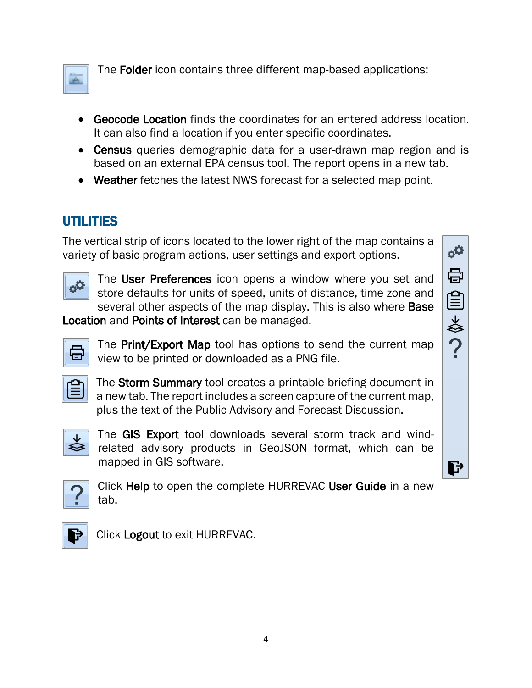

The Folder icon contains three different map-based applications:

- Geocode Location finds the coordinates for an entered address location. It can also find a location if you enter specific coordinates.
- Census queries demographic data for a user-drawn map region and is based on an external EPA census tool. The report opens in a new tab.
- Weather fetches the latest NWS forecast for a selected map point.

# UTILITIES

The vertical strip of icons located to the lower right of the map contains a variety of basic program actions, user settings and export options.



The User Preferences icon opens a window where you set and store defaults for units of speed, units of distance, time zone and several other aspects of the map display. This is also where **Base** 

Location and Points of Interest can be managed.



The **Print/Export Map** tool has options to send the current map view to be printed or downloaded as a PNG file.



The Storm Summary tool creates a printable briefing document in a new tab. The report includes a screen capture of the current map, plus the text of the Public Advisory and Forecast Discussion.



The GIS Export tool downloads several storm track and windrelated advisory products in GeoJSON format, which can be mapped in GIS software.



Click Help to open the complete HURREVAC User Guide in a new tab.



Click Logout to exit HURREVAC.

ť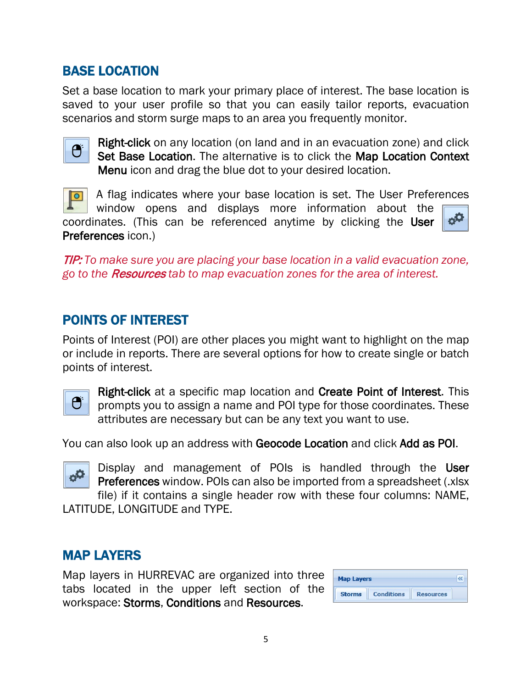# BASE LOCATION

Set a base location to mark your primary place of interest. The base location is saved to your user profile so that you can easily tailor reports, evacuation scenarios and storm surge maps to an area you frequently monitor.



Right-click on any location (on land and in an evacuation zone) and click Set Base Location. The alternative is to click the Map Location Context Menu icon and drag the blue dot to your desired location.

A flag indicates where your base location is set. The User Preferences  $\overline{\vert \circ \vert}$ window opens and displays more information about the  $\sigma^{\mathbf{Q}}$ coordinates. (This can be referenced anytime by clicking the User Preferences icon.)

TIP: *To make sure you are placing your base location in a valid evacuation zone, go to the* Resources *tab to map evacuation zones for the area of interest.*

### POINTS OF INTEREST

Points of Interest (POI) are other places you might want to highlight on the map or include in reports. There are several options for how to create single or batch points of interest.



Right-click at a specific map location and Create Point of Interest. This prompts you to assign a name and POI type for those coordinates. These attributes are necessary but can be any text you want to use.

You can also look up an address with Geocode Location and click Add as POI.



Display and management of POIs is handled through the User Preferences window. POIs can also be imported from a spreadsheet (.xlsx file) if it contains a single header row with these four columns: NAME,

LATITUDE, LONGITUDE and TYPE.

# MAP LAYERS

Map layers in HURREVAC are organized into three tabs located in the upper left section of the workspace: Storms, Conditions and Resources.

| <b>Map Layers</b> |                   |                  |  |
|-------------------|-------------------|------------------|--|
| <b>Storms</b>     | <b>Conditions</b> | <b>Resources</b> |  |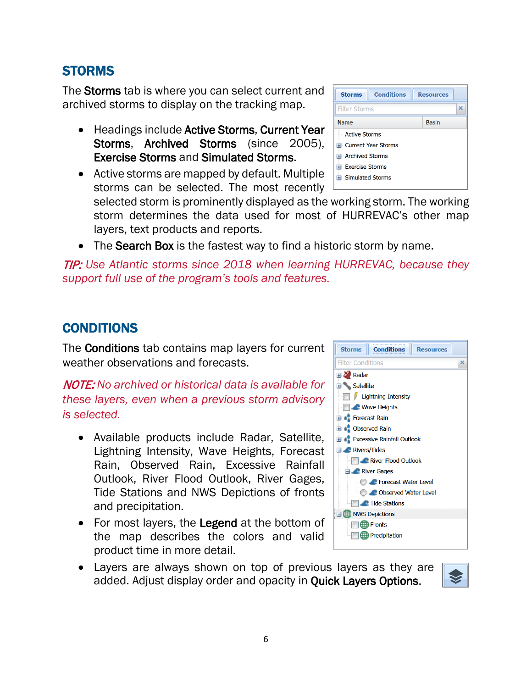# STORMS

The Storms tab is where you can select current and archived storms to display on the tracking map.

- Headings include Active Storms, Current Year Storms, Archived Storms (since 2005), Exercise Storms and Simulated Storms.
- Active storms are mapped by default. Multiple storms can be selected. The most recently

selected storm is prominently displayed as the working storm. The working storm determines the data used for most of HURREVAC's other map layers, text products and reports.

• The Search Box is the fastest way to find a historic storm by name.

TIP: *Use Atlantic storms since 2018 when learning HURREVAC, because they support full use of the program's tools and features.*

# **CONDITIONS**

The Conditions tab contains map layers for current weather observations and forecasts.

NOTE: *No archived or historical data is available for these layers, even when a previous storm advisory is selected.*

- Available products include Radar, Satellite, Lightning Intensity, Wave Heights, Forecast Rain, Observed Rain, Excessive Rainfall Outlook, River Flood Outlook, River Gages, Tide Stations and NWS Depictions of fronts and precipitation.
- For most layers, the Legend at the bottom of the map describes the colors and valid product time in more detail.
- **El de** Forecast Rain **El** Cobserved Rain **Excessive Rainfall Outlook** Rivers/Tides River Flood Outlook **Excel River Gages C** Forecast Water Level **O CO** Observed Water Level **Tide Stations B** NWS Depictions **Fronts**





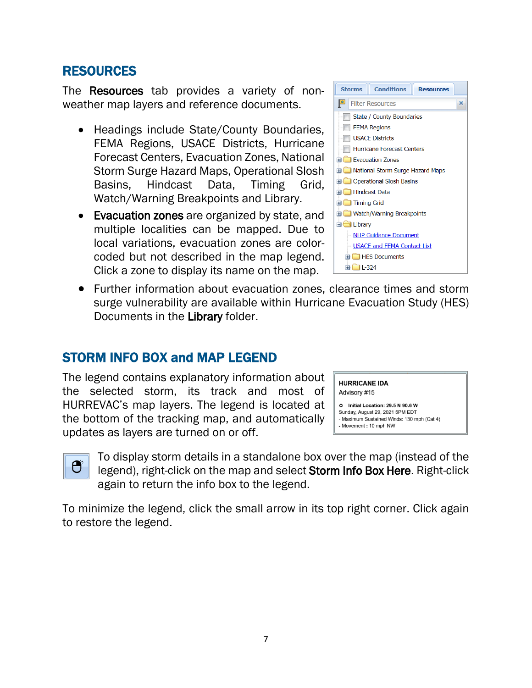### **RESOURCES**

The **Resources** tab provides a variety of nonweather map layers and reference documents.

- Headings include State/County Boundaries, FEMA Regions, USACE Districts, Hurricane Forecast Centers, Evacuation Zones, National Storm Surge Hazard Maps, Operational Slosh Basins, Hindcast Data, Timing Grid, Watch/Warning Breakpoints and Library.
- Evacuation zones are organized by state, and multiple localities can be mapped. Due to local variations, evacuation zones are colorcoded but not described in the map legend. Click a zone to display its name on the map.



**Conditions** 

**Resources** 

×

**Storms** 

Filter Resources

• Further information about evacuation zones, clearance times and storm surge vulnerability are available within Hurricane Evacuation Study (HES) Documents in the Library folder.

### STORM INFO BOX and MAP LEGEND

The legend contains explanatory information about the selected storm, its track and most of HURREVAC's map layers. The legend is located at the bottom of the tracking map, and automatically updates as layers are turned on or off.

**HURRICANE IDA** Advisory #15

O Initial Location: 29 5 N 90 6 W Sunday, August 29, 2021 5PM EDT - Maximum Sustained Winds: 130 mph (Cat 4) - Movement: 10 mph NW



To display storm details in a standalone box over the map (instead of the legend), right-click on the map and select Storm Info Box Here. Right-click again to return the info box to the legend.

To minimize the legend, click the small arrow in its top right corner. Click again to restore the legend.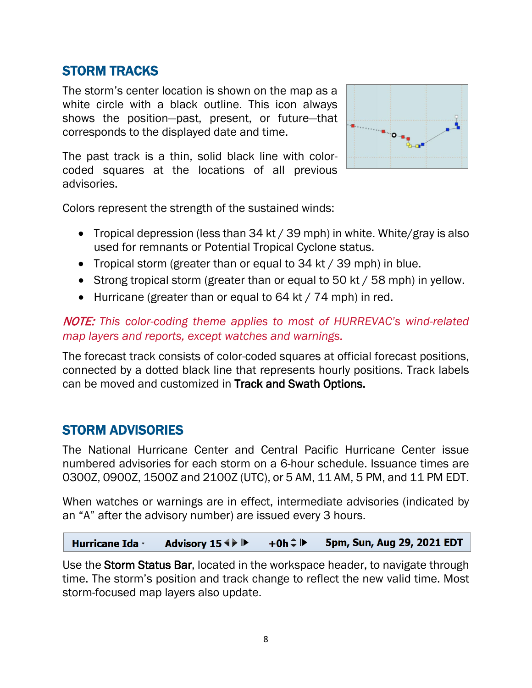# STORM TRACKS

The storm's center location is shown on the map as a white circle with a black outline. This icon always shows the position—past, present, or future—that corresponds to the displayed date and time.

The past track is a thin, solid black line with colorcoded squares at the locations of all previous advisories.



Colors represent the strength of the sustained winds:

- Tropical depression (less than 34 kt / 39 mph) in white. White/gray is also used for remnants or Potential Tropical Cyclone status.
- Tropical storm (greater than or equal to 34 kt / 39 mph) in blue.
- Strong tropical storm (greater than or equal to 50 kt / 58 mph) in yellow.
- Hurricane (greater than or equal to 64 kt / 74 mph) in red.

### NOTE: *This color-coding theme applies to most of HURREVAC's wind-related map layers and reports, except watches and warnings.*

The forecast track consists of color-coded squares at official forecast positions, connected by a dotted black line that represents hourly positions. Track labels can be moved and customized in Track and Swath Options.

### STORM ADVISORIES

The National Hurricane Center and Central Pacific Hurricane Center issue numbered advisories for each storm on a 6-hour schedule. Issuance times are 0300Z, 0900Z, 1500Z and 2100Z (UTC), or 5 AM, 11 AM, 5 PM, and 11 PM EDT.

When watches or warnings are in effect, intermediate advisories (indicated by an "A" after the advisory number) are issued every 3 hours.

5pm, Sun, Aug 29, 2021 EDT Advisory 15  $\leftrightarrow$   $\triangleright$  $+0h \div P$ **Hurricane Ida ·** 

Use the Storm Status Bar, located in the workspace header, to navigate through time. The storm's position and track change to reflect the new valid time. Most storm-focused map layers also update.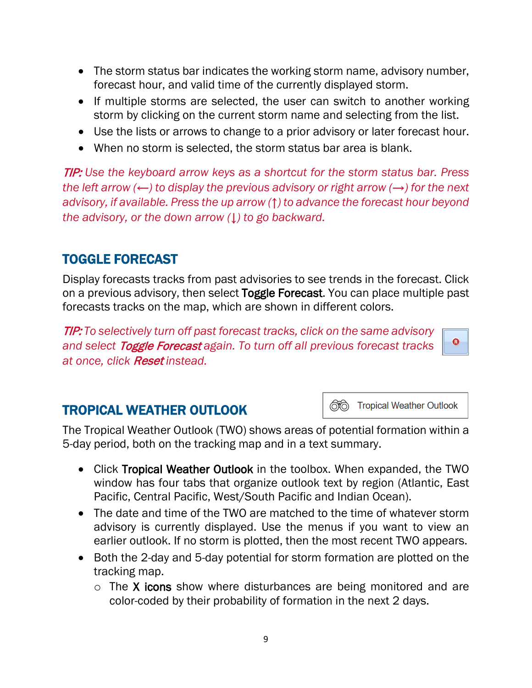- The storm status bar indicates the working storm name, advisory number, forecast hour, and valid time of the currently displayed storm.
- If multiple storms are selected, the user can switch to another working storm by clicking on the current storm name and selecting from the list.
- Use the lists or arrows to change to a prior advisory or later forecast hour.
- When no storm is selected, the storm status bar area is blank.

TIP: *Use the keyboard arrow keys as a shortcut for the storm status bar. Press the left arrow (←) to display the previous advisory or right arrow (→) for the next advisory, if available. Press the up arrow (↑) to advance the forecast hour beyond the advisory, or the down arrow (↓) to go backward.*

# TOGGLE FORECAST

Display forecasts tracks from past advisories to see trends in the forecast. Click on a previous advisory, then select Toggle Forecast. You can place multiple past forecasts tracks on the map, which are shown in different colors.

TIP: *To selectively turn off past forecast tracks, click on the same advisory and select* Toggle Forecast *again. To turn off all previous forecast tracks at once, click* Reset *instead.*

# TROPICAL WEATHER OUTLOOK

66 Tropical Weather Outlook

 $\bullet$ 

The Tropical Weather Outlook (TWO) shows areas of potential formation within a 5-day period, both on the tracking map and in a text summary.

- Click Tropical Weather Outlook in the toolbox. When expanded, the TWO window has four tabs that organize outlook text by region (Atlantic, East Pacific, Central Pacific, West/South Pacific and Indian Ocean).
- The date and time of the TWO are matched to the time of whatever storm advisory is currently displayed. Use the menus if you want to view an earlier outlook. If no storm is plotted, then the most recent TWO appears.
- Both the 2-day and 5-day potential for storm formation are plotted on the tracking map.
	- $\circ$  The X icons show where disturbances are being monitored and are color-coded by their probability of formation in the next 2 days.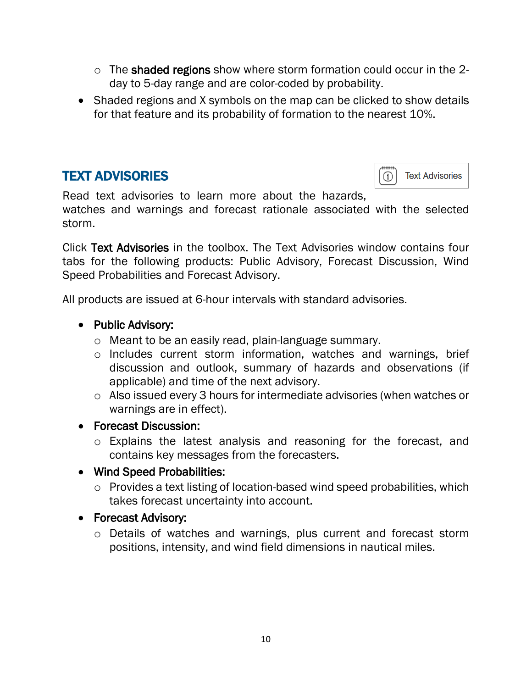- o The shaded regions show where storm formation could occur in the 2 day to 5-day range and are color-coded by probability.
- Shaded regions and X symbols on the map can be clicked to show details for that feature and its probability of formation to the nearest 10%.

# TEXT ADVISORIES

storm.



Read text advisories to learn more about the hazards, watches and warnings and forecast rationale associated with the selected

Click Text Advisories in the toolbox. The Text Advisories window contains four tabs for the following products: Public Advisory, Forecast Discussion, Wind Speed Probabilities and Forecast Advisory.

All products are issued at 6-hour intervals with standard advisories.

- Public Advisory:
	- o Meant to be an easily read, plain-language summary.
	- o Includes current storm information, watches and warnings, brief discussion and outlook, summary of hazards and observations (if applicable) and time of the next advisory.
	- o Also issued every 3 hours for intermediate advisories (when watches or warnings are in effect).
- Forecast Discussion:
	- o Explains the latest analysis and reasoning for the forecast, and contains key messages from the forecasters.

#### • Wind Speed Probabilities:

- o Provides a text listing of location-based wind speed probabilities, which takes forecast uncertainty into account.
- Forecast Advisory:
	- o Details of watches and warnings, plus current and forecast storm positions, intensity, and wind field dimensions in nautical miles.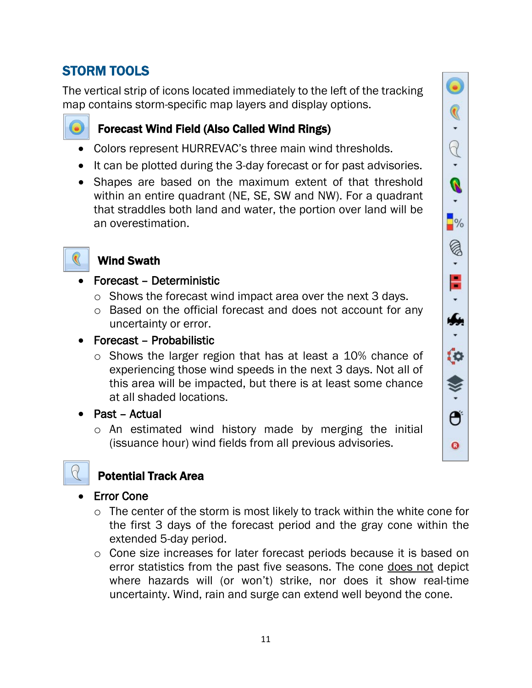# STORM TOOLS

The vertical strip of icons located immediately to the left of the tracking map contains storm-specific map layers and display options.



### Forecast Wind Field (Also Called Wind Rings)

- Colors represent HURREVAC's three main wind thresholds.
- It can be plotted during the 3-day forecast or for past advisories.
- Shapes are based on the maximum extent of that threshold within an entire quadrant (NE, SE, SW and NW). For a quadrant that straddles both land and water, the portion over land will be an overestimation.

# Wind Swath

- Forecast Deterministic
	- o Shows the forecast wind impact area over the next 3 days.
	- o Based on the official forecast and does not account for any uncertainty or error.
- Forecast Probabilistic
	- o Shows the larger region that has at least a 10% chance of experiencing those wind speeds in the next 3 days. Not all of this area will be impacted, but there is at least some chance at all shaded locations.
- Past Actual
	- o An estimated wind history made by merging the initial (issuance hour) wind fields from all previous advisories.



# Potential Track Area

### **Error Cone**

- o The center of the storm is most likely to track within the white cone for the first 3 days of the forecast period and the gray cone within the extended 5-day period.
- o Cone size increases for later forecast periods because it is based on error statistics from the past five seasons. The cone does not depict where hazards will (or won't) strike, nor does it show real-time uncertainty. Wind, rain and surge can extend well beyond the cone.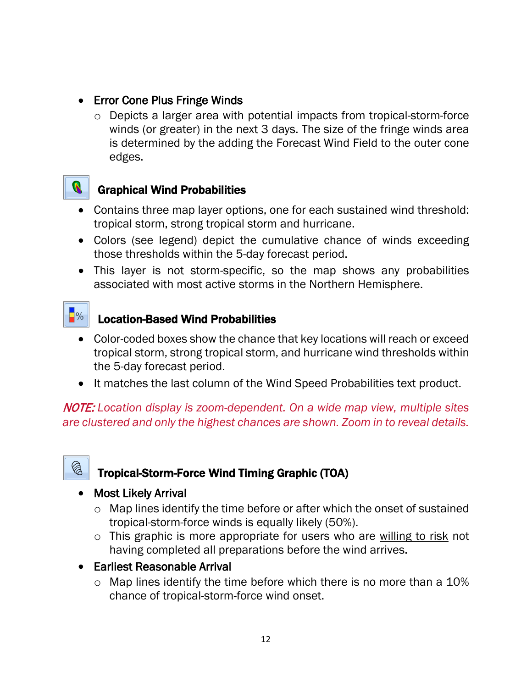- Error Cone Plus Fringe Winds
	- o Depicts a larger area with potential impacts from tropical-storm-force winds (or greater) in the next 3 days. The size of the fringe winds area is determined by the adding the Forecast Wind Field to the outer cone edges.



### Graphical Wind Probabilities

- Contains three map layer options, one for each sustained wind threshold: tropical storm, strong tropical storm and hurricane.
- Colors (see legend) depict the cumulative chance of winds exceeding those thresholds within the 5-day forecast period.
- This layer is not storm-specific, so the map shows any probabilities associated with most active storms in the Northern Hemisphere.



### Location-Based Wind Probabilities

- Color-coded boxes show the chance that key locations will reach or exceed tropical storm, strong tropical storm, and hurricane wind thresholds within the 5-day forecast period.
- It matches the last column of the Wind Speed Probabilities text product.

NOTE: *Location display is zoom-dependent. On a wide map view, multiple sites are clustered and only the highest chances are shown. Zoom in to reveal details.* 



# Tropical-Storm-Force Wind Timing Graphic (TOA)

### • Most Likely Arrival

- o Map lines identify the time before or after which the onset of sustained tropical-storm-force winds is equally likely (50%).
- o This graphic is more appropriate for users who are willing to risk not having completed all preparations before the wind arrives.
- Earliest Reasonable Arrival
	- $\circ$  Map lines identify the time before which there is no more than a 10% chance of tropical-storm-force wind onset.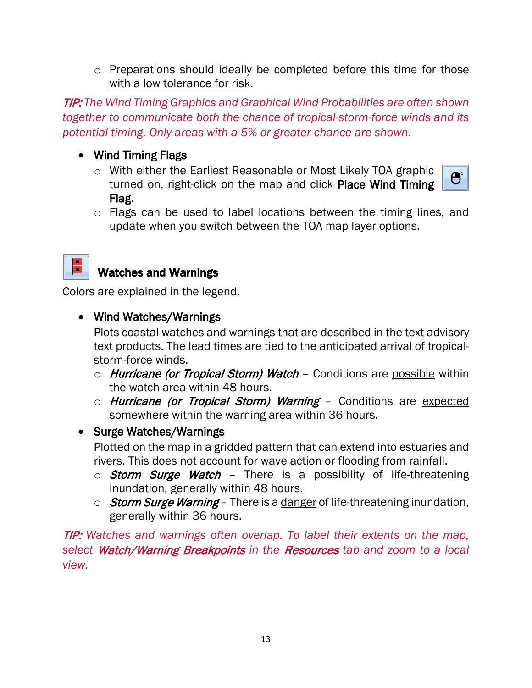o Preparations should ideally be completed before this time for those with a low tolerance for risk.

TIP: *The Wind Timing Graphics and Graphical Wind Probabilities are often shown together to communicate both the chance of tropical-storm-force winds and its potential timing. Only areas with a 5% or greater chance are shown.*

- Wind Timing Flags
	- o With either the Earliest Reasonable or Most Likely TOA graphic turned on, right-click on the map and click Place Wind Timing Flag.



o Flags can be used to label locations between the timing lines, and update when you switch between the TOA map layer options.



### Watches and Warnings

Colors are explained in the legend.

• Wind Watches/Warnings

Plots coastal watches and warnings that are described in the text advisory text products. The lead times are tied to the anticipated arrival of tropicalstorm-force winds.

- $\circ$  *Hurricane (or Tropical Storm) Watch –* Conditions are possible within the watch area within 48 hours.
- o *Hurricane (or Tropical Storm) Warning -* Conditions are expected somewhere within the warning area within 36 hours.
- Surge Watches/Warnings

Plotted on the map in a gridded pattern that can extend into estuaries and rivers. This does not account for wave action or flooding from rainfall.

- $\circ$  Storm Surge Watch There is a possibility of life-threatening inundation, generally within 48 hours.
- $\circ$  Storm Surge Warning There is a danger of life-threatening inundation, generally within 36 hours.

TIP: *Watches and warnings often overlap. To label their extents on the map, select* Watch/Warning Breakpoints *in the* Resources *tab and zoom to a local view.*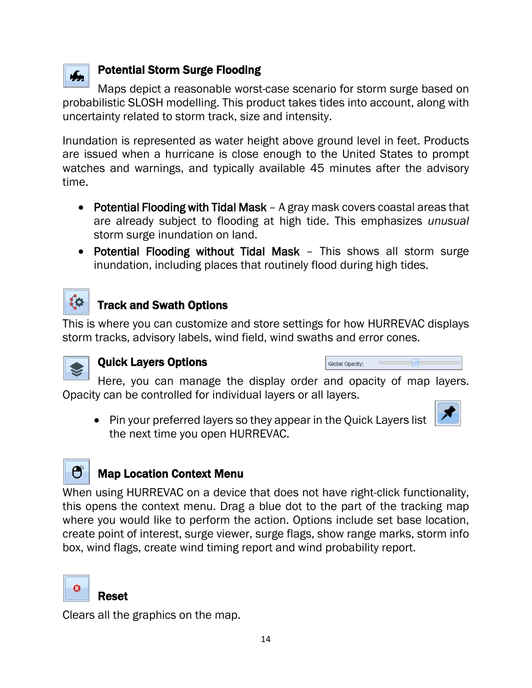

### Potential Storm Surge Flooding

Maps depict a reasonable worst-case scenario for storm surge based on probabilistic SLOSH modelling. This product takes tides into account, along with uncertainty related to storm track, size and intensity.

Inundation is represented as water height above ground level in feet. Products are issued when a hurricane is close enough to the United States to prompt watches and warnings, and typically available 45 minutes after the advisory time.

- Potential Flooding with Tidal Mask A gray mask covers coastal areas that are already subject to flooding at high tide. This emphasizes *unusual*  storm surge inundation on land.
- Potential Flooding without Tidal Mask This shows all storm surge inundation, including places that routinely flood during high tides.



# Track and Swath Options

This is where you can customize and store settings for how HURREVAC displays storm tracks, advisory labels, wind field, wind swaths and error cones.



### Quick Layers Options

| <b>Global Opacity:</b> |  |
|------------------------|--|
|------------------------|--|

Here, you can manage the display order and opacity of map layers. Opacity can be controlled for individual layers or all layers.

• Pin your preferred layers so they appear in the Quick Layers list the next time you open HURREVAC.



# Map Location Context Menu

When using HURREVAC on a device that does not have right-click functionality, this opens the context menu. Drag a blue dot to the part of the tracking map where you would like to perform the action. Options include set base location, create point of interest, surge viewer, surge flags, show range marks, storm info box, wind flags, create wind timing report and wind probability report.



### Reset

Clears all the graphics on the map.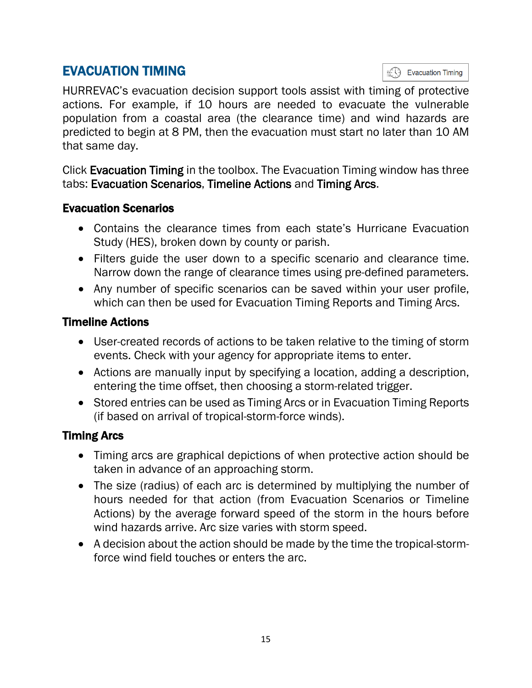# EVACUATION TIMING

**Evacuation Timing** 

HURREVAC's evacuation decision support tools assist with timing of protective actions. For example, if 10 hours are needed to evacuate the vulnerable population from a coastal area (the clearance time) and wind hazards are predicted to begin at 8 PM, then the evacuation must start no later than 10 AM that same day.

Click Evacuation Timing in the toolbox. The Evacuation Timing window has three tabs: Evacuation Scenarios, Timeline Actions and Timing Arcs.

### Evacuation Scenarios

- Contains the clearance times from each state's Hurricane Evacuation Study (HES), broken down by county or parish.
- Filters guide the user down to a specific scenario and clearance time. Narrow down the range of clearance times using pre-defined parameters.
- Any number of specific scenarios can be saved within your user profile, which can then be used for Evacuation Timing Reports and Timing Arcs.

### Timeline Actions

- User-created records of actions to be taken relative to the timing of storm events. Check with your agency for appropriate items to enter.
- Actions are manually input by specifying a location, adding a description, entering the time offset, then choosing a storm-related trigger.
- Stored entries can be used as Timing Arcs or in Evacuation Timing Reports (if based on arrival of tropical-storm-force winds).

### Timing Arcs

- Timing arcs are graphical depictions of when protective action should be taken in advance of an approaching storm.
- The size (radius) of each arc is determined by multiplying the number of hours needed for that action (from Evacuation Scenarios or Timeline Actions) by the average forward speed of the storm in the hours before wind hazards arrive. Arc size varies with storm speed.
- A decision about the action should be made by the time the tropical-stormforce wind field touches or enters the arc.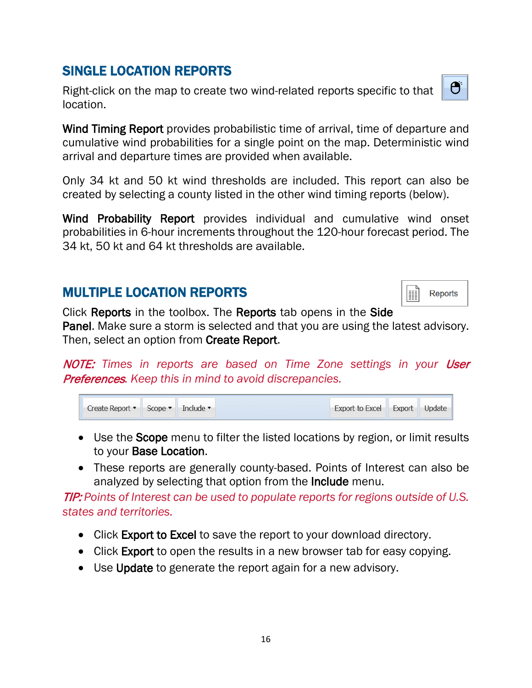### MULTIPLE LOCATION REPORTS

Scope •

Include •

Create Report •

Click Reports in the toolbox. The Reports tab opens in the Side Panel. Make sure a storm is selected and that you are using the latest advisory. Then, select an option from Create Report.

NOTE: Times in reports are based on Time Zone settings in your User Preferences*. Keep this in mind to avoid discrepancies.*

| • Use the <b>Scope</b> menu to filter the listed locations by region, or limit results |
|----------------------------------------------------------------------------------------|
| to your <b>Base Location</b> .                                                         |

• These reports are generally county-based. Points of Interest can also be analyzed by selecting that option from the **Include** menu.

TIP: *Points of Interest can be used to populate reports for regions outside of U.S. states and territories.* 

- Click Export to Excel to save the report to your download directory.
- Click Export to open the results in a new browser tab for easy copying.
- Use Update to generate the report again for a new advisory.

# SINGLE LOCATION REPORTS

Right-click on the map to create two wind-related reports specific to that location.

Wind Timing Report provides probabilistic time of arrival, time of departure and cumulative wind probabilities for a single point on the map. Deterministic wind arrival and departure times are provided when available.

Only 34 kt and 50 kt wind thresholds are included. This report can also be created by selecting a county listed in the other wind timing reports (below).

Wind Probability Report provides individual and cumulative wind onset probabilities in 6-hour increments throughout the 120-hour forecast period. The 34 kt, 50 kt and 64 kt thresholds are available.



Export

**Export to Excel** 

I **Reports** 

Update

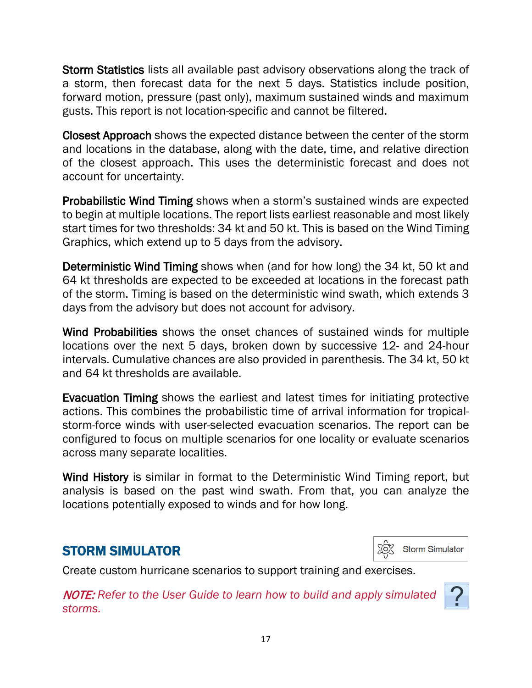Storm Statistics lists all available past advisory observations along the track of a storm, then forecast data for the next 5 days. Statistics include position, forward motion, pressure (past only), maximum sustained winds and maximum gusts. This report is not location-specific and cannot be filtered.

Closest Approach shows the expected distance between the center of the storm and locations in the database, along with the date, time, and relative direction of the closest approach. This uses the deterministic forecast and does not account for uncertainty.

Probabilistic Wind Timing shows when a storm's sustained winds are expected to begin at multiple locations. The report lists earliest reasonable and most likely start times for two thresholds: 34 kt and 50 kt. This is based on the Wind Timing Graphics, which extend up to 5 days from the advisory.

Deterministic Wind Timing shows when (and for how long) the 34 kt, 50 kt and 64 kt thresholds are expected to be exceeded at locations in the forecast path of the storm. Timing is based on the deterministic wind swath, which extends 3 days from the advisory but does not account for advisory.

Wind Probabilities shows the onset chances of sustained winds for multiple locations over the next 5 days, broken down by successive 12- and 24-hour intervals. Cumulative chances are also provided in parenthesis. The 34 kt, 50 kt and 64 kt thresholds are available.

Evacuation Timing shows the earliest and latest times for initiating protective actions. This combines the probabilistic time of arrival information for tropicalstorm-force winds with user-selected evacuation scenarios. The report can be configured to focus on multiple scenarios for one locality or evaluate scenarios across many separate localities.

Wind History is similar in format to the Deterministic Wind Timing report, but analysis is based on the past wind swath. From that, you can analyze the locations potentially exposed to winds and for how long.

# STORM SIMULATOR



Create custom hurricane scenarios to support training and exercises.

NOTE: *Refer to the User Guide to learn how to build and apply simulated storms.*